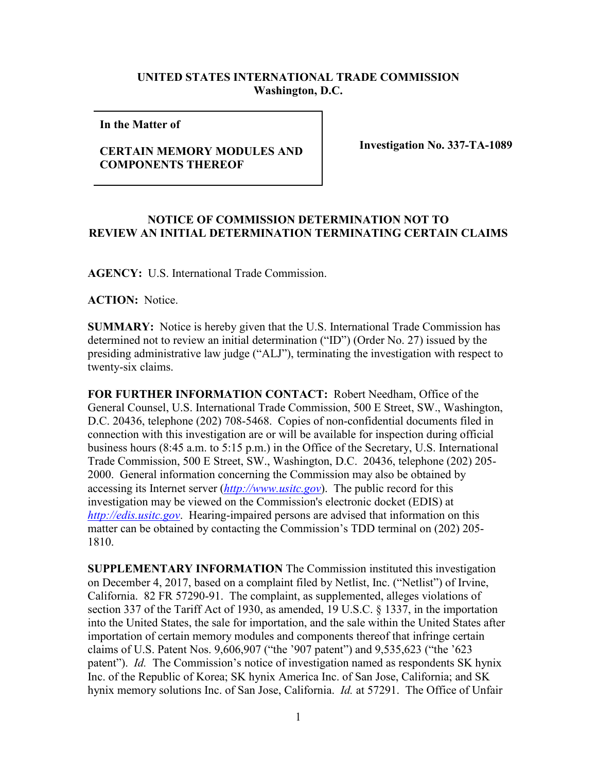## **UNITED STATES INTERNATIONAL TRADE COMMISSION Washington, D.C.**

**In the Matter of** 

## **CERTAIN MEMORY MODULES AND COMPONENTS THEREOF**

**Investigation No. 337-TA-1089**

## **NOTICE OF COMMISSION DETERMINATION NOT TO REVIEW AN INITIAL DETERMINATION TERMINATING CERTAIN CLAIMS**

**AGENCY:** U.S. International Trade Commission.

**ACTION:** Notice.

**SUMMARY:** Notice is hereby given that the U.S. International Trade Commission has determined not to review an initial determination ("ID") (Order No. 27) issued by the presiding administrative law judge ("ALJ"), terminating the investigation with respect to twenty-six claims.

**FOR FURTHER INFORMATION CONTACT:** Robert Needham, Office of the General Counsel, U.S. International Trade Commission, 500 E Street, SW., Washington, D.C. 20436, telephone (202) 708-5468. Copies of non-confidential documents filed in connection with this investigation are or will be available for inspection during official business hours (8:45 a.m. to 5:15 p.m.) in the Office of the Secretary, U.S. International Trade Commission, 500 E Street, SW., Washington, D.C. 20436, telephone (202) 205- 2000. General information concerning the Commission may also be obtained by accessing its Internet server (*[http://www.usitc.gov](http://www.usitc.gov/)*). The public record for this investigation may be viewed on the Commission's electronic docket (EDIS) at *[http://edis.usitc.gov](http://edis.usitc.gov/)*. Hearing-impaired persons are advised that information on this matter can be obtained by contacting the Commission's TDD terminal on (202) 205- 1810.

**SUPPLEMENTARY INFORMATION** The Commission instituted this investigation on December 4, 2017, based on a complaint filed by Netlist, Inc. ("Netlist") of Irvine, California. 82 FR 57290-91. The complaint, as supplemented, alleges violations of section 337 of the Tariff Act of 1930, as amended, 19 U.S.C. § 1337, in the importation into the United States, the sale for importation, and the sale within the United States after importation of certain memory modules and components thereof that infringe certain claims of U.S. Patent Nos. 9,606,907 ("the '907 patent") and 9,535,623 ("the '623 patent"). *Id.* The Commission's notice of investigation named as respondents SK hynix Inc. of the Republic of Korea; SK hynix America Inc. of San Jose, California; and SK hynix memory solutions Inc. of San Jose, California. *Id.* at 57291. The Office of Unfair